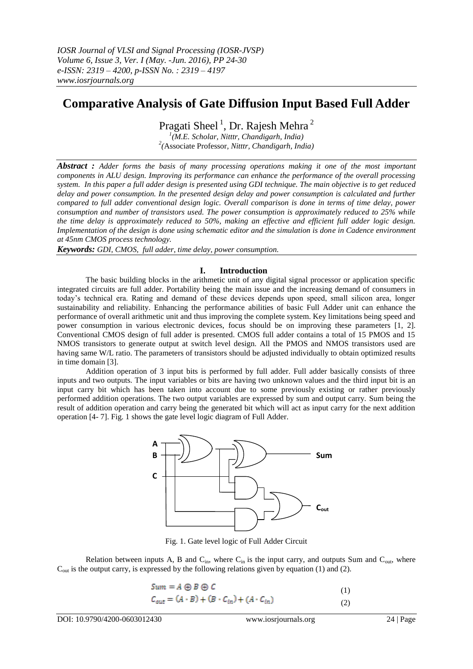# **Comparative Analysis of Gate Diffusion Input Based Full Adder**

Pragati Sheel<sup>1</sup>, Dr. Rajesh Mehra<sup>2</sup>

*1 (M.E. Scholar, Nitttr, Chandigarh, India) 2 (*Associate Professor*, Nitttr, Chandigarh, India)*

*Abstract : Adder forms the basis of many processing operations making it one of the most important components in ALU design. Improving its performance can enhance the performance of the overall processing system. In this paper a full adder design is presented using GDI technique. The main objective is to get reduced delay and power consumption. In the presented design delay and power consumption is calculated and further compared to full adder conventional design logic. Overall comparison is done in terms of time delay, power consumption and number of transistors used. The power consumption is approximately reduced to 25% while the time delay is approximately reduced to 50%, making an effective and efficient full adder logic design. Implementation of the design is done using schematic editor and the simulation is done in Cadence environment at 45nm CMOS process technology.*

*Keywords: GDI, CMOS, full adder, time delay, power consumption.*

# **I. Introduction**

The basic building blocks in the arithmetic unit of any digital signal processor or application specific integrated circuits are full adder. Portability being the main issue and the increasing demand of consumers in today's technical era. Rating and demand of these devices depends upon speed, small silicon area, longer sustainability and reliability. Enhancing the performance abilities of basic Full Adder unit can enhance the performance of overall arithmetic unit and thus improving the complete system. Key limitations being speed and power consumption in various electronic devices, focus should be on improving these parameters [1, 2]. Conventional CMOS design of full adder is presented. CMOS full adder contains a total of 15 PMOS and 15 NMOS transistors to generate output at switch level design. All the PMOS and NMOS transistors used are having same W/L ratio. The parameters of transistors should be adjusted individually to obtain optimized results in time domain [3].

Addition operation of 3 input bits is performed by full adder. Full adder basically consists of three inputs and two outputs. The input variables or bits are having two unknown values and the third input bit is an input carry bit which has been taken into account due to some previously existing or rather previously performed addition operations. The two output variables are expressed by sum and output carry. Sum being the result of addition operation and carry being the generated bit which will act as input carry for the next addition operation [4- 7]. Fig. 1 shows the gate level logic diagram of Full Adder.



Fig. 1. Gate level logic of Full Adder Circuit

Relation between inputs A, B and  $C_{in}$ , where  $C_{in}$  is the input carry, and outputs Sum and  $C_{out}$ , where  $C<sub>out</sub>$  is the output carry, is expressed by the following relations given by equation (1) and (2).

$$
Sum = A \oplus B \oplus C
$$
 (1)

$$
C_{out} = (A \cdot B) + (B \cdot C_{in}) + (A \cdot C_{in})
$$
\n<sup>(2)</sup>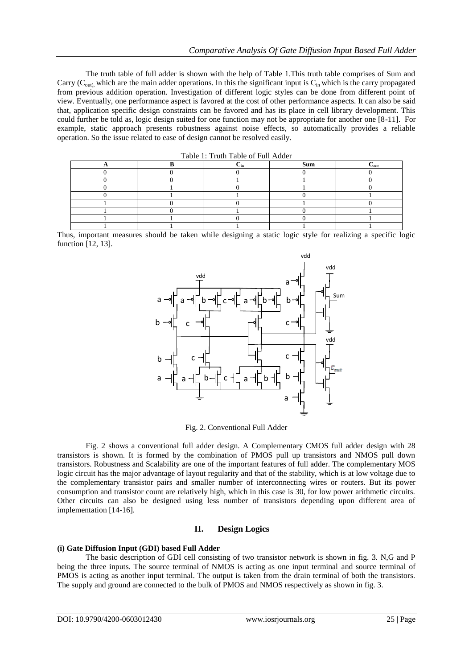The truth table of full adder is shown with the help of Table 1.This truth table comprises of Sum and Carry ( $C_{\text{out}}$ ), which are the main adder operations. In this the significant input is  $C_{\text{in}}$  which is the carry propagated from previous addition operation. Investigation of different logic styles can be done from different point of view. Eventually, one performance aspect is favored at the cost of other performance aspects. It can also be said that, application specific design constraints can be favored and has its place in cell library development. This could further be told as, logic design suited for one function may not be appropriate for another one [8-11]. For example, static approach presents robustness against noise effects, so automatically provides a reliable operation. So the issue related to ease of design cannot be resolved easily.

| Table 1: Truth Table of Full Adder |  |     |     |                           |  |
|------------------------------------|--|-----|-----|---------------------------|--|
|                                    |  | ∠in | Sum | $\mathsf{L}_{\text{out}}$ |  |
|                                    |  |     |     |                           |  |
|                                    |  |     |     |                           |  |
|                                    |  |     |     |                           |  |
|                                    |  |     |     |                           |  |
|                                    |  |     |     |                           |  |
|                                    |  |     |     |                           |  |
|                                    |  |     |     |                           |  |
|                                    |  |     |     |                           |  |

Thus, important measures should be taken while designing a static logic style for realizing a specific logic function [12, 13].



Fig. 2. Conventional Full Adder

Fig. 2 shows a conventional full adder design. A Complementary CMOS full adder design with 28 transistors is shown. It is formed by the combination of PMOS pull up transistors and NMOS pull down transistors. Robustness and Scalability are one of the important features of full adder. The complementary MOS logic circuit has the major advantage of layout regularity and that of the stability, which is at low voltage due to the complementary transistor pairs and smaller number of interconnecting wires or routers. But its power consumption and transistor count are relatively high, which in this case is 30, for low power arithmetic circuits. Other circuits can also be designed using less number of transistors depending upon different area of implementation [14-16].

# **II. Design Logics**

#### **(i) Gate Diffusion Input (GDI) based Full Adder**

The basic description of GDI cell consisting of two transistor network is shown in fig. 3. N,G and P being the three inputs. The source terminal of NMOS is acting as one input terminal and source terminal of PMOS is acting as another input terminal. The output is taken from the drain terminal of both the transistors. The supply and ground are connected to the bulk of PMOS and NMOS respectively as shown in fig. 3.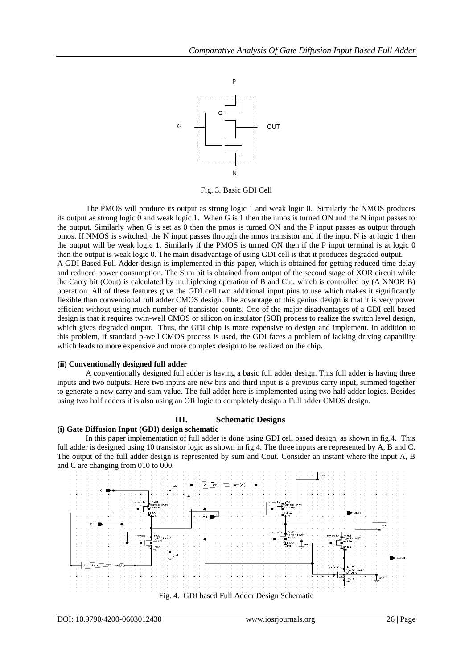

Fig. 3. Basic GDI Cell

The PMOS will produce its output as strong logic 1 and weak logic 0. Similarly the NMOS produces its output as strong logic 0 and weak logic 1. When G is 1 then the nmos is turned ON and the N input passes to the output. Similarly when G is set as 0 then the pmos is turned ON and the P input passes as output through pmos. If NMOS is switched, the N input passes through the nmos transistor and if the input N is at logic 1 then the output will be weak logic 1. Similarly if the PMOS is turned ON then if the P input terminal is at logic 0 then the output is weak logic 0. The main disadvantage of using GDI cell is that it produces degraded output. A GDI Based Full Adder design is implemented in this paper, which is obtained for getting reduced time delay and reduced power consumption. The Sum bit is obtained from output of the second stage of XOR circuit while the Carry bit (Cout) is calculated by multiplexing operation of B and Cin, which is controlled by (A XNOR B) operation. All of these features give the GDI cell two additional input pins to use which makes it significantly flexible than conventional full adder CMOS design. The advantage of this genius design is that it is very power efficient without using much number of transistor counts. One of the major disadvantages of a GDI cell based design is that it requires twin-well CMOS or silicon on insulator (SOI) process to realize the switch level design, which gives degraded output. Thus, the GDI chip is more expensive to design and implement. In addition to this problem, if standard p-well CMOS process is used, the GDI faces a problem of lacking driving capability which leads to more expensive and more complex design to be realized on the chip.

#### **(ii) Conventionally designed full adder**

A conventionally designed full adder is having a basic full adder design. This full adder is having three inputs and two outputs. Here two inputs are new bits and third input is a previous carry input, summed together to generate a new carry and sum value. The full adder here is implemented using two half adder logics. Besides using two half adders it is also using an OR logic to completely design a Full adder CMOS design.

# **III. Schematic Designs**

### **(i) Gate Diffusion Input (GDI) design schematic**

In this paper implementation of full adder is done using GDI cell based design, as shown in fig.4. This full adder is designed using 10 transistor logic as shown in fig.4. The three inputs are represented by A, B and C. The output of the full adder design is represented by sum and Cout. Consider an instant where the input A, B and C are changing from 010 to 000.

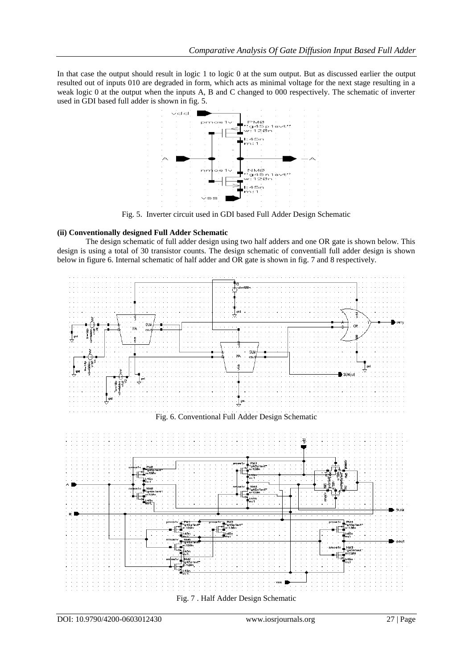In that case the output should result in logic 1 to logic 0 at the sum output. But as discussed earlier the output resulted out of inputs 010 are degraded in form, which acts as minimal voltage for the next stage resulting in a weak logic 0 at the output when the inputs A, B and C changed to 000 respectively. The schematic of inverter used in GDI based full adder is shown in fig. 5.



Fig. 5. Inverter circuit used in GDI based Full Adder Design Schematic

# **(ii) Conventionally designed Full Adder Schematic**

The design schematic of full adder design using two half adders and one OR gate is shown below. This design is using a total of 30 transistor counts. The design schematic of conventiall full adder design is shown below in figure 6. Internal schematic of half adder and OR gate is shown in fig. 7 and 8 respectively.

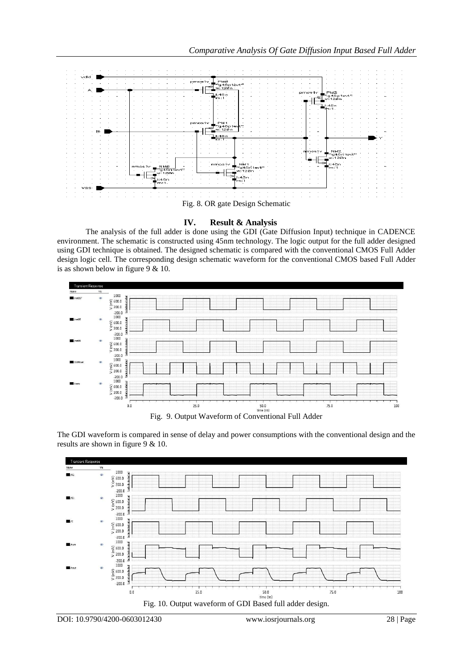

# **IV. Result & Analysis**

The analysis of the full adder is done using the GDI (Gate Diffusion Input) technique in CADENCE environment. The schematic is constructed using 45nm technology. The logic output for the full adder designed using GDI technique is obtained. The designed schematic is compared with the conventional CMOS Full Adder design logic cell. The corresponding design schematic waveform for the conventional CMOS based Full Adder is as shown below in figure 9 & 10.



The GDI waveform is compared in sense of delay and power consumptions with the conventional design and the results are shown in figure 9 & 10.

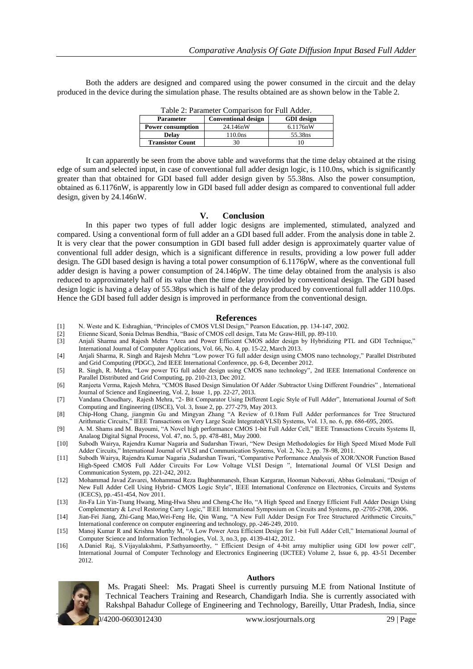Both the adders are designed and compared using the power consumed in the circuit and the delay produced in the device during the simulation phase. The results obtained are as shown below in the Table 2.

| Table 2: Parameter Comparison for Full Adder. |                            |                   |  |  |
|-----------------------------------------------|----------------------------|-------------------|--|--|
| <b>Parameter</b>                              | <b>Conventional design</b> | <b>GDI</b> design |  |  |
| <b>Power consumption</b>                      | 24.146nW                   | 6.1176nW          |  |  |
| <b>Delay</b>                                  | 110.0ns                    | 55.38ns           |  |  |
| <b>Transistor Count</b>                       | 30                         |                   |  |  |

It can apparently be seen from the above table and waveforms that the time delay obtained at the rising edge of sum and selected input, in case of conventional full adder design logic, is 110.0ns, which is significantly greater than that obtained for GDI based full adder design given by 55.38ns. Also the power consumption, obtained as 6.1176nW, is apparently low in GDI based full adder design as compared to conventional full adder design, given by 24.146nW.

#### **V. Conclusion**

In this paper two types of full adder logic designs are implemented, stimulated, analyzed and compared. Using a conventional form of full adder an a GDI based full adder. From the analysis done in table 2. It is very clear that the power consumption in GDI based full adder design is approximately quarter value of conventional full adder design, which is a significant difference in results, providing a low power full adder design. The GDI based design is having a total power consumption of 6.1176pW, where as the conventional full adder design is having a power consumption of 24.146pW. The time delay obtained from the analysis is also reduced to approximately half of its value then the time delay provided by conventional design. The GDI based design logic is having a delay of 55.38ps which is half of the delay produced by conventional full adder 110.0ps. Hence the GDI based full adder design is improved in performance from the conventional design.

#### **References**

- [1] N. Weste and K. Eshraghian, "Principles of CMOS VLSI Design," Pearson Education, pp. 134-147, 2002.
- [2] Etienne Sicard, Sonia Delmas Bendhia, "Basic of CMOS cell design, Tata Mc Graw-Hill, pp. 89-110.
- Anjali Sharma and Rajesh Mehra "Area and Power Efficient CMOS adder design by Hybridizing PTL and GDI Technique," International Journal of Computer Applications, Vol. 66, No. 4, pp. 15-22, March 2013.
- [4] Anjali Sharma, R. Singh and Rajesh Mehra "Low power TG full adder design using CMOS nano technology," Parallel Distributed and Grid Computing (PDGC), 2nd IEEE International Conference, pp. 6-8, December 2012.
- [5] R. Singh, R. Mehra, "Low power TG full adder design using CMOS nano technology", 2nd IEEE International Conference on Parallel Distributed and Grid Computing, pp. 210-213, Dec 2012.
- [6] Ranjeeta Verma, Rajesh Mehra, "CMOS Based Design Simulation Of Adder /Subtractor Using Different Foundries" , International Journal of Science and Engineering, Vol. 2, Issue 1, pp. 22-27, 2013.
- [7] Vandana Choudhary, Rajesh Mehra, "2- Bit Comparator Using Different Logic Style of Full Adder", International Journal of Soft Computing and Engineering (IJSCE), Vol. 3, Issue 2, pp. 277-279, May 2013.
- [8] Chip-Hong Chang, jiangmin Gu and Mingyan Zhang "A Review of 0.18nm Full Adder performances for Tree Structured Arithmatic Circuits," IEEE Transactions on Very Large Scale Integrated(VLSI) Systems, Vol. 13, no. 6, pp. 686-695, 2005.
- [9] A. M. Shams and M. Bayoumi, "A Novel high performance CMOS 1-bit Full Adder Cell," IEEE Transactions Circuits Systems II, Analaog Digital Signal Process, Vol. 47, no. 5, pp. 478-481, May 2000.
- [10] Subodh Wairya, Rajendra Kumar Nagaria and Sudarshan Tiwari, "New Design Methodologies for High Speed Mixed Mode Full Adder Circuits," International Journal of VLSI and Communication Systems, Vol. 2, No. 2, pp. 78-98, 2011.
- [11] Subodh Wairya, Rajendra Kumar Nagaria ,Sudarshan Tiwari, "Comparative Performance Analysis of XOR/XNOR Function Based High-Speed CMOS Full Adder Circuits For Low Voltage VLSI Design ", International Journal Of VLSI Design and Communication System, pp. 221-242, 2012.
- [12] Mohammad Javad Zavarei, Mohammad Reza Baghbanmanesh, Ehsan Kargaran, Hooman Nabovati, Abbas Golmakani, "Design of New Full Adder Cell Using Hybrid- CMOS Logic Style", IEEE International Conference on Electronics, Circuits and Systems (ICECS), pp.-451-454, Nov 2011.
- [13] Jin-Fa Lin Yin-Tsung Hwang, Ming-Hwa Sheu and Cheng-Che Ho, "A High Speed and Energy Efficient Full Adder Design Using Complementary & Level Restoring Carry Logic," IEEE International Symposium on Circuits and Systems, pp.-2705-2708, 2006.
- [14] Jian-Fei Jiang, Zhi-Gang Mao,Wei-Feng He, Qin Wang, "A New Full Adder Design For Tree Structured Arithmetic Circuits," International conference on computer engineering and technology, pp.-246-249, 2010.
- [15] Manoj Kumar R and Krishna Murthy M, "A Low Power Area Efficient Design for 1-bit Full Adder Cell," International Journal of Computer Science and Information Technologies, Vol. 3, no.3, pp. 4139-4142, 2012.
- [16] A.Daniel Raj, S.Vijayalakshmi, P.Sathyamoorthy, " Efficient Design of 4-bit array multiplier using GDI low power cell", International Journal of Computer Technology and Electronics Engineering (IJCTEE) Volume 2, Issue 6, pp. 43-51 December 2012.

Ms. Pragati Sheel: Ms. Pragati Sheel is currently pursuing M.E from National Institute of Technical Teachers Training and Research, Chandigarh India. She is currently associated with Rakshpal Bahadur College of Engineering and Technology, Bareilly, Uttar Pradesh, India, since

**Authors**